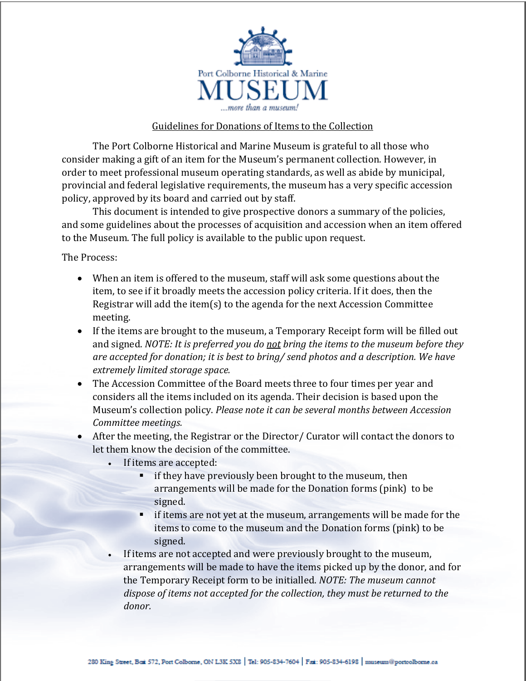

## Guidelines for Donations of Items to the Collection

The Port Colborne Historical and Marine Museum is grateful to all those who consider making a gift of an item for the Museum's permanent collection. However, in order to meet professional museum operating standards, as well as abide by municipal, provincial and federal legislative requirements, the museum has a very specific accession policy, approved by its board and carried out by staff.

This document is intended to give prospective donors a summary of the policies, and some guidelines about the processes of acquisition and accession when an item offered to the Museum. The full policy is available to the public upon request.

The Process:

- When an item is offered to the museum, staff will ask some questions about the item, to see if it broadly meets the accession policy criteria. If it does, then the Registrar will add the item(s) to the agenda for the next Accession Committee meeting.
- If the items are brought to the museum, a Temporary Receipt form will be filled out and signed. *NOTE: It is preferred you do not bring the items to the museum before they are accepted for donation; it is best to bring/ send photos and a description. We have extremely limited storage space.*
- The Accession Committee of the Board meets three to four times per year and considers all the items included on its agenda. Their decision is based upon the Museum's collection policy. *Please note it can be several months between Accession Committee meetings.*
- After the meeting, the Registrar or the Director/ Curator will contact the donors to let them know the decision of the committee.
	- If items are accepted:
		- if they have previously been brought to the museum, then arrangements will be made for the Donation forms (pink) to be signed.
		- **If items are not yet at the museum, arrangements will be made for the** items to come to the museum and the Donation forms (pink) to be signed.
	- If items are not accepted and were previously brought to the museum, arrangements will be made to have the items picked up by the donor, and for the Temporary Receipt form to be initialled. *NOTE: The museum cannot dispose of items not accepted for the collection, they must be returned to the donor.*